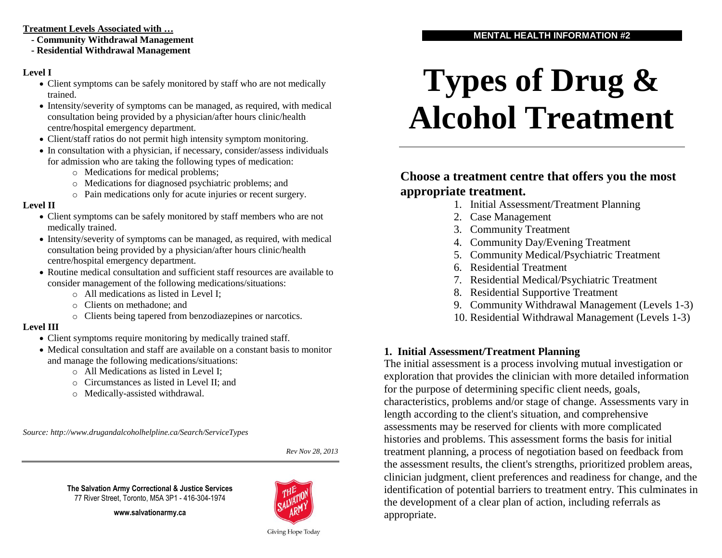#### **Treatment Levels Associated with …**

- **- Community Withdrawal Management**
- **- Residential Withdrawal Management**

# **Level I**

- Client symptoms can be safely monitored by staff who are not medically trained.
- Intensity/severity of symptoms can be managed, as required, with medical consultation being provided by a physician/after hours clinic/health centre/hospital emergency department.
- Client/staff ratios do not permit high intensity symptom monitoring.
- In consultation with a physician, if necessary, consider/assess individuals for admission who are taking the following types of medication:
	- o Medications for medical problems;
	- o Medications for diagnosed psychiatric problems; and
	- o Pain medications only for acute injuries or recent surgery.

## **Level II**

- Client symptoms can be safely monitored by staff members who are not medically trained.
- Intensity/severity of symptoms can be managed, as required, with medical consultation being provided by a physician/after hours clinic/health centre/hospital emergency department.
- Routine medical consultation and sufficient staff resources are available to consider management of the following medications/situations:
	- o All medications as listed in Level I;
	- o Clients on methadone; and
	- o Clients being tapered from benzodiazepines or narcotics.

# **Level III**

- Client symptoms require monitoring by medically trained staff.
- Medical consultation and staff are available on a constant basis to monitor and manage the following medications/situations:
	- o All Medications as listed in Level I;
	- o Circumstances as listed in Level II; and
	- o Medically-assisted withdrawal.

*Source: http://www.drugandalcoholhelpline.ca/Search/ServiceTypes*

*Rev Nov 28, 2013*

**www.salvationarmy.ca**



# **Types of Drug & Alcohol Treatment**

# **Choose a treatment centre that offers you the most appropriate treatment.**

- 1. Initial Assessment/Treatment Planning
- 2. Case Management
- 3. Community Treatment
- 4. Community Day/Evening Treatment
- 5. Community Medical/Psychiatric Treatment
- 6. Residential Treatment
- 7. Residential Medical/Psychiatric Treatment
- 8. Residential Supportive Treatment
- 9. Community Withdrawal Management (Levels 1-3)
- 10. Residential Withdrawal Management (Levels 1-3)

# **1. Initial Assessment/Treatment Planning**

The initial assessment is a process involving mutual investigation or exploration that provides the clinician with more detailed information for the purpose of determining specific client needs, goals, characteristics, problems and/or stage of change. Assessments vary in length according to the client's situation, and comprehensive assessments may be reserved for clients with more complicated histories and problems. This assessment forms the basis for initial treatment planning, a process of negotiation based on feedback from the assessment results, the client's strengths, prioritized problem areas, clinician judgment, client preferences and readiness for change, and the identification of potential barriers to treatment entry. This culminates in the development of a clear plan of action, including referrals as appropriate.